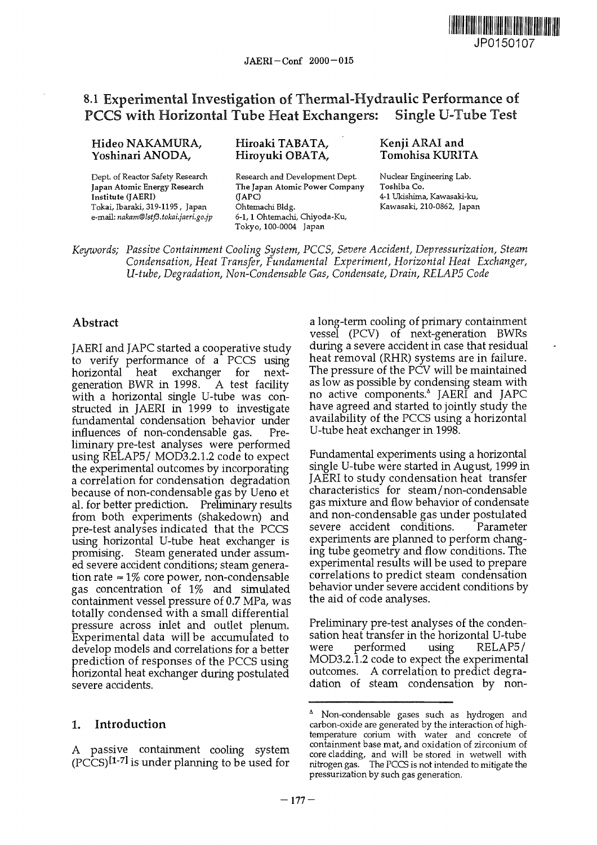

# 8.1 Experimental Investigation of Thermal-Hydraulic Performance of PCCS with Horizontal Tube Heat Exchangers: Single U-Tube Test

#### Hideo NAKAMURA, Yoshinari ANODA,

Dept. of Reactor Safety Research **Japan Atomic Energy Research Institute (JAERI)** Tokai, Ibaraki, 319-1195 , Japan e-mail: *nakam@lstf3.tokai.jaeri.go.jp*

### Hiroaki TABATA, Hiroyuki OBATA,

Research and Development Dept. **The Japan Atomic Power Company (JAPC)** Ohtemachi Bldg. 6-1,1 Ohtemachi, Chiyoda-Ku, Tokyo, 100-0004 Japan

#### Kenji ARAI and Tomohisa KURITA

Nuclear Engineering Lab. Toshiba **Co.** 4-1 Ukishima, Kawasaki-ku, Kawasaki, 210-0862, Japan

*Keywords; Passive Containment Cooling System, PCCS, Severe Accident, Depressurization, Steam Condensation, Heat Transfer, Fundamental Experiment, Horizontal Heat Exchanger, U-tube, Degradation, Non-Condensable Gas, Condensate, Drain, RELAP5 Code*

# Abstract

JAERI and JAPC started a cooperative study to verify performance of a PCCS using horizontal heat exchanger for nextgeneration BWR in 1998. A test facility with a horizontal single U-tube was constructed in JAERI in 1999 to investigate fundamental condensation behavior under influences of non-condensable gas. Preliminary pre-test analyses were performed using RELAP5/ MOD3.2.1.2 code to expect the experimental outcomes by incorporating a correlation for condensation degradation because of non-condensable gas by Ueno et al. for better prediction. Preliminary results from both experiments (shakedown) and pre-test analyses indicated that the PCCS using horizontal U-tube heat exchanger is promising. Steam generated under assumed severe accident conditions; steam generation rate  $\approx 1\%$  core power, non-condensable gas concentration of 1% and simulated containment vessel pressure of 0.7 MPa, was totally condensed with a small differential pressure across inlet and outlet plenum. Experimental data will be accumulated to develop models and correlations for a better prediction of responses of the PCCS using horizontal heat exchanger during postulated severe accidents.

#### 1. Introduction

A passive containment cooling system (PCCS)<sup>[1-7]</sup> is under planning to be used for

a long-term cooling of primary containment vessel (PCV) of next-generation BWRs during a severe accident in case that residual heat removal (RHR) systems are in failure. The pressure of the PCV will be maintained as low as possible by condensing steam with no active components.\* JAERI and JAPC have agreed and started to jointly study the availability of the PCCS using a horizontal U-tube heat exchanger in 1998.

Fundamental experiments using a horizontal single U-tube were started in August, 1999 in JAERI to study condensation heat transfer characteristics for steam/non-condensable gas mixture and flow behavior of condensate and non-condensable gas under postulated severe accident conditions. Parameter experiments are planned to perform changing tube geometry and flow conditions. The experimental results will be used to prepare correlations to predict steam condensation behavior under severe accident conditions by the aid of code analyses.

Preliminary pre-test analyses of the condensation heat transfer in the horizontal U-tube were performed using RELAP5/ MOD3.2.1.2 code to expect the experimental outcomes. A correlation to predict degradation of steam condensation by non-

<sup>&</sup>lt;sup>^</sup> Non-condensable gases such as hydrogen and carbon-oxide are generated by the interaction of hightemperature corium with water and concrete of containment base mat, and oxidation of zirconium of core cladding, and will be stored in wetwell with nitrogen gas. The PCCS is not intended to mitigate the pressurization by such gas generation.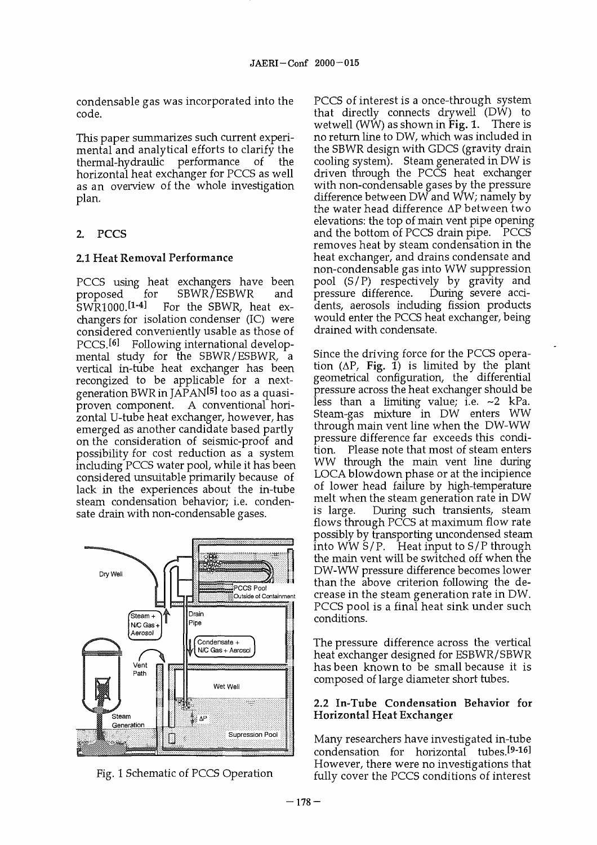condensable gas was incorporated into the code.

This paper summarizes such current experimental and analytical efforts to clarify the thermal-hydraulic performance of the horizontal heat exchanger for PCCS as well as an overview of the whole investigation plan.

# 2. PCCS

# 2.1 Heat Removal Performance

PCCS using heat exchangers have been proposed for SBWR/ESBWR and -<br>SWR1000.<sup>[1-4</sup> ] For the SBWR, heat exchangers for isolation condenser (IC) were considered conveniently usable as those of PCCS.<sup>[6]</sup> ! Following international developmental study for the SBWR/ESBWR, a vertical in-tube heat exchanger has been recongized to be applicable for a nextgeneration BWR in  $\tilde{APAN}$  too as a quasiproven component. A conventional horizontal U-tube heat exchanger, however, has emerged as another candidate based partly on the consideration of seismic-proof and possibility for cost reduction as a system including PCCS water pool, while it has been considered unsuitable primarily because of lack in the experiences about the in-tube steam condensation behavior; i.e. condensate drain with non-condensable gases.





PCCS of interest is a once-through system that directly connects drywell (DW) to wetwell (WW) as shown in Fig. 1. There is no return line to DW, which was included in the SBWR design with GDCS (gravity drain cooling system). Steam generated in DW is driven through the PCCS heat exchanger with non-condensable gases by the pressure difference between DW and WW; namely by the water head difference  $\Delta P$  between two elevations: the top of main vent pipe opening and the bottom of PCCS drain pipe. PCCS removes heat by steam condensation in the heat exchanger, and drains condensate and non-condensable gas into WW suppression pool (S/P) respectively by gravity and pressure difference. During severe accidents, aerosols including fission products would enter the PCCS heat exchanger, being drained with condensate.

Since the driving force for the PCCS operation  $(\Delta P, Fig. 1)$  is limited by the plant geometrical configuration, the differential pressure across the heat exchanger should be less than a limiting value; i.e. ~2 kPa. Steam-gas mixture in DW enters WW through main vent line when the DW-WW pressure difference far exceeds this condition. Please note that most of steam enters WW through the main vent line during LOCA blowdown phase or at the incipience of lower head failure by high-temperature melt when the steam generation rate in DW is large. During such transients, steam flows through PCCS at maximum flow rate possibly by transporting uncondensed steam into WW S/P. Heat input to S/P through the main vent will be switched off when the DW-WW pressure difference becomes lower than the above criterion following the decrease in the steam generation rate in DW. PCCS pool is a final heat sink under such conditions.

The pressure difference across the vertical heat exchanger designed for ESBWR/SBWR has been known to be small because it is composed of large diameter short tubes.

#### 2.2 In-Tube Condensation Behavior for Horizontal Heat Exchanger

Many researchers have investigated in-tube condensation for horizontal tubes.<sup>[9-16]</sup> However, there were no investigations that fully cover the PCCS conditions of interest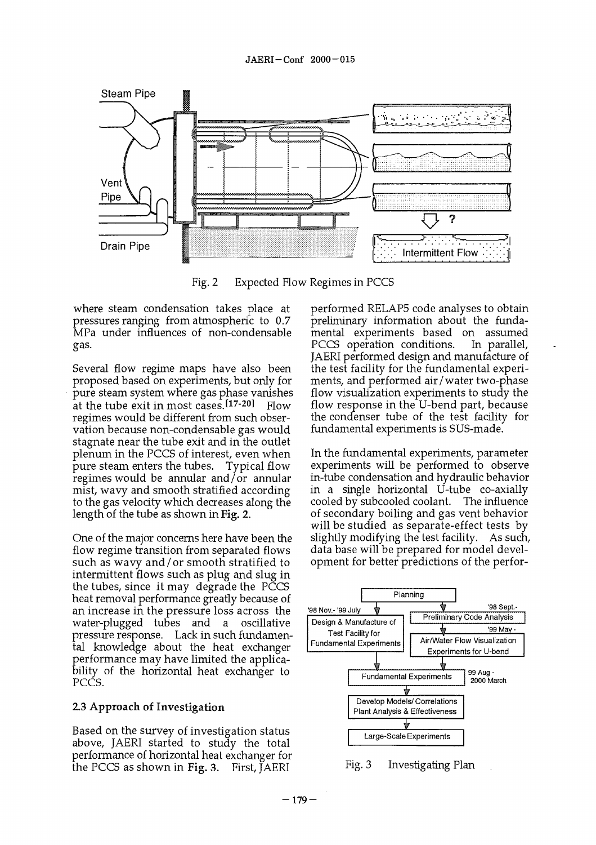

Fig. 2 Expected Flow Regimes in PCCS

where steam condensation takes place at pressures ranging from atmospheric to 0.7 MPa under influences of non-condensable gas.

Several flow regime maps have also been proposed based on experiments, but only for pure steam system where gas phase vanishes at the tube exit in most cases.[17-Flow regimes would be different from such observation because non-condensable gas would stagnate near the tube exit and in the outlet plenum in the PCCS of interest, even when pure steam enters the tubes. Typical flow regimes would be annular and/or annular mist, wavy and smooth stratified according to the gas velocity which decreases along the length of the tube as shown in Fig. 2.

One of the major concerns here have been the flow regime transition from separated flows such as wavy and/or smooth stratified to intermittent flows such as plug and slug in the tubes, since it may degrade the PCCS heat removal performance greatly because of an increase in the pressure loss across the water-plugged tubes and a oscillative pressure response. Lack in such fundamental knowledge about the heat exchanger performance may have limited the applicability of the horizontal heat exchanger to PCCS.

#### 2.3 Approach of Investigation

Based on the survey of investigation status above, JAERI started to study the total performance of horizontal heat exchanger for the PCCS as shown in Fig. 3. First,  $JAERI$ 

performed RELAP5 code analyses to obtain preliminary information about the fundamental experiments based on assumed PCCS operation conditions. In parallel, JAERI performed design and manufacture of the test facility for the fundamental experiments, and performed air/water two-phase flow visualization experiments to study the flow response in the U-bend part, because the condenser tube of the test facility for fundamental experiments is SUS-made.

In the fundamental experiments, parameter experiments will be performed to observe in-tube condensation and hydraulic behavior in a single horizontal U-tube co-axially cooled by subcooled coolant. The influence of secondary boiling and gas vent behavior will be studied as separate-effect tests by slightly modifying the test facility. As such, data base will be prepared for model development for better predictions of the perfor-



Fig. 3 Investigating Plan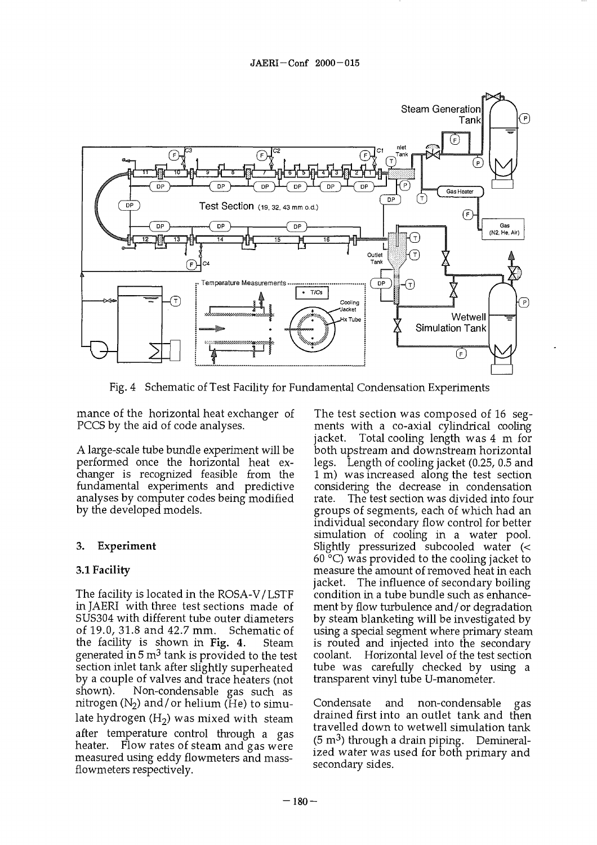

Fig. 4 Schematic of Test Facility for Fundamental Condensation Experiments

mance of the horizontal heat exchanger of PCCS by the aid of code analyses.

A large-scale tube bundle experiment will be performed once the horizontal heat exchanger is recognized feasible from the fundamental experiments and predictive analyses by computer codes being modified by the developed models.

# 3. Experiment

# **3.1 Facility**

The facility is located in the ROSA-V/LSTF inJAERI with three test sections made of SUS304 with different tube outer diameters of 19.0, 31.8 and 42.7 mm. Schematic of the facility is shown in Fig. 4. Steam generated in 5 m $^3$  tank is provided to the test section inlet tank after slightly superheated by a couple of valves and trace heaters (not<br>shown). Non-condensable gas such as Non-condensable gas such as nitrogen  $(N_2)$  and/or helium (He) to simulate hydrogen  $(H<sub>2</sub>)$  was mixed with steam after temperature control through a gas heater. Flow rates of steam and gas were measured using eddy flowmeters and massflowmeters respectively.

The test section was composed of 16 segments with a co-axial cylindrical cooling jacket. Total cooling length was 4 m for both upstream and downstream horizontal legs. Length of cooling jacket (0.25, 0.5 and 1 m) was increased along the test section considering the decrease in condensation rate. The test section was divided into four groups of segments, each of which had an individual secondary flow control for better simulation of cooling in a water pool. Slightly pressurized subcooled water (<  $60^{\circ}$ C) was provided to the cooling jacket to measure the amount of removed heat in each jacket. The influence of secondary boiling condition in a tube bundle such as enhancement by flow turbulence and/or degradation by steam blanketing will be investigated by using a special segment where primary steam is routed and injected into the secondary coolant. Horizontal level of the test section tube was carefully checked by using a transparent vinyl tube U-manometer.

Condensate and non-condensable gas drained first into an outlet tank and then travelled down to wetwell simulation tank (5 m<sup>3</sup>) through a drain piping. Demineralized water was used for both primary and secondary sides.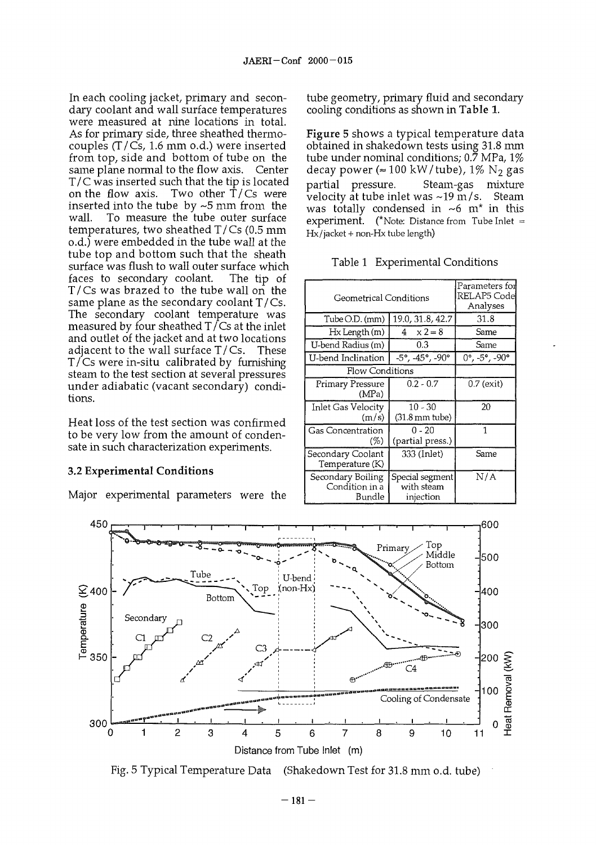In each cooling jacket, primary and secondary coolant and wall surface temperatures were measured at nine locations in total. As for primary side, three sheathed thermocouples (T/Cs, 1.6 mm o.d.) were inserted from top, side and bottom of tube on the same plane normal to the flow axis. Center  $T/C$  was inserted such that the tip is located<br>on the flow axis. Two other  $T/Cs$  were Two other  $\dot{T}/Cs$  were inserted into the tube by ~5 mm from the wall. To measure the tube outer surface temperatures, two sheathed T/Cs (0.5 mm o.d.) were embedded in the tube wall at the tube top and bottom such that the sheath surface was flush to wall outer surface which faces to secondary coolant. The tip of T/Cs was brazed to the tube wall on the same plane as the secondary coolant T/Cs. The secondary coolant temperature was measured by four sheathed  $T/Cs$  at the inlet and outlet of the jacket and at two locations adjacent to the wall surface T/Cs. These T/Cs were in-situ calibrated by furnishing steam to the test section at several pressures under adiabatic (vacant secondary) conditions.

Heat loss of the test section was confirmed to be very low from the amount of condensate in such characterization experiments.

#### 3.2 **Experimental Conditions**

Major experimental parameters were the

tube geometry, primary fluid and secondary cooling conditions as shown in Table 1.

Figure 5 shows a typical temperature data obtained in shakedown tests using 31.8 mm tube under nominal conditions;  $0.\overline{7}$  MPa,  $1\%$ decay power ( $\approx 100 \text{ kW/tube}$ ), 1% N<sub>2</sub> gas partial pressure. Steam-gas mixture velocity at tube inlet was  $\sim$ 19 m/s. Steam was totally condensed in  $\sim$ 6 m\* in this  ${\sf experiment.}$  (\*Note: Distance from Tube Inlet = Hx/jacket + non-Hx tube length)

|  | Table 1 Experimental Conditions |
|--|---------------------------------|
|--|---------------------------------|

| Geometrical Conditions                        | Parameters foil<br>RELAP5 Codel<br>Analyses      |                         |
|-----------------------------------------------|--------------------------------------------------|-------------------------|
| Tube O.D. (mm)                                | 19.0, 31.8, 42.7                                 | 31.8                    |
| Hx Length (m)                                 | $4 \times 2 = 8$                                 | Same                    |
| U-bend Radius (m)                             | 0.3                                              | Same                    |
| U-bend Inclination                            | -5°, -45°, -90°                                  | $0^{\circ}$ , -5°, -90° |
| <b>Flow Conditions</b>                        |                                                  |                         |
| Primary Pressure<br>(MPa)                     | $0.2 - 0.7$                                      | $0.7$ (exit)            |
| Inlet Gas Velocity<br>(m/s)                   | $10 - 30$<br>$(31.8 \,\mathrm{mm} \text{ tube})$ | 20                      |
| Gas Concentration<br>(%)                      | $0 - 20$<br>(partial press.)                     | 1                       |
| Secondary Coolant<br>Temperature (K)          | 333 (Inlet)                                      | Same                    |
| Secondary Boiling<br>Condition in a<br>Bundle | Special segment<br>with steam<br>iniection       | N/A                     |



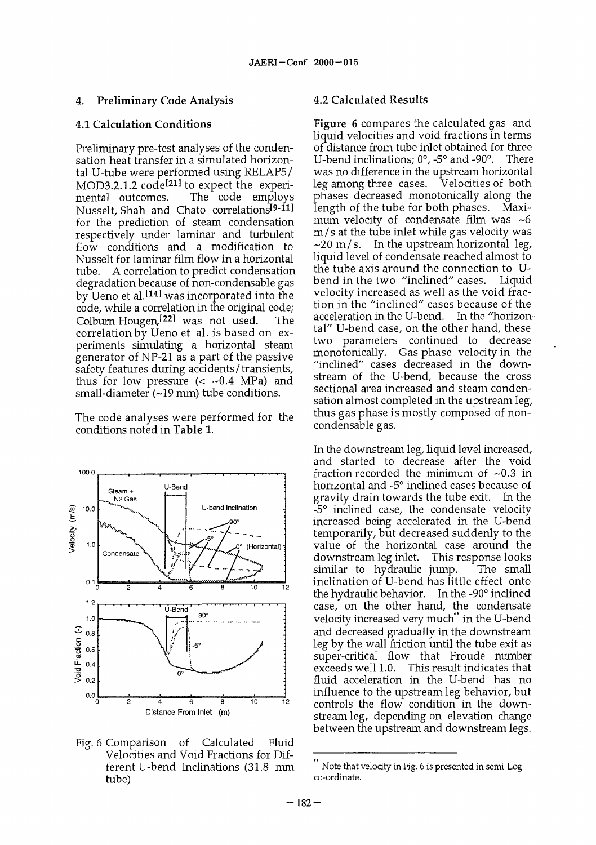#### 4. Preliminary Code Analysis

#### 4.1 Calculation Conditions

Preliminary pre-test analyses of the condensation heat transfer in a simulated horizontal U-tube were performed using RELAP5/ MOD3.2.1.2  $\text{codel}^{21}$  to expect the experimental outcomes. The code employs Nusselt, Shah and Chato correlations<sup>[9-11]</sup> for the prediction of steam condensation respectively under laminar and turbulent flow conditions and a modification to Nusselt for laminar film flow in a horizontal tube. A correlation to predict condensation degradation because of non-condensable gas by Ueno et al.<sup>[14]</sup> was incorporated into the code, while a correlation in the original code; Colburn-Hougen<sup>[22]</sup> was not used. The correlation by Ueno et al. is based on experiments simulating a horizontal steam generator of NP-21 as a part of the passive safety features during accidents/transients, thus for low pressure  $( $0.4$  MPa) and$  $small\text{-}diameter (~19\text{ mm})$  tube conditions.

The code analyses were performed for the conditions noted in Table 1.



Fig. 6 Comparison of Calculated Fluid Velocities and Void Fractions for Different U-bend Inclinations (31.8 mm tube)

#### 4.2 Calculated Results

Figure 6 compares the calculated gas and liquid velocities and void fractions in terms of distance from tube inlet obtained for three U-bend inclinations; 0°, -5° and -90°. There was no difference in the upstream horizontal leg among three cases. phases decreased monotonically along the length of the tube for both phases. Maximum velocity of condensate film was  $\sim$ 6 m/s at the tube inlet while gas velocity was  $\sim$ 20 m/s. In the upstream horizontal leg, liquid level of condensate reached almost to the tube axis around the connection to U-<br>bend in the two "inclined" cases. Liquid bend in the two "inclined" cases. velocity increased as well as the void fraction in the "inclined" cases because of the acceleration in the U-bend. In the "horizontal" U-bend case, on the other hand, these two parameters continued to decrease monotonically. Gas phase velocity in the "inclined" cases decreased in the downstream of the U-bend, because the cross sectional area increased and steam condensation almost completed in the upstream leg, thus gas phase is mostly composed of noncondensable gas.

In the downstream leg, liquid level increased, and started to decrease after the void fraction recorded the minimum of  $\sim 0.3$  in horizontal and -5° inclined cases because of gravity drain towards the tube exit. In the -5° inclined case, the condensate velocity increased being accelerated in the U-bend temporarily, but decreased suddenly to the value of the horizontal case around the downstream leg inlet. This response looks similar to hydraulic jump. inclination of U-bend has little effect onto the hydraulic behavior. In the -90° inclined case, on the other hand, the condensate velocity increased very much" in the U-bend and decreased gradually in the downstream leg by the wall friction until the tube exit as super-critical flow that Froude number exceeds well 1.0. This result indicates that fluid acceleration in the U-bend has no influence to the upstream leg behavior, but controls the flow condition in the downstream leg, depending on elevation change between the upstream and downstream legs.

Note that velocity in Fig. 6 is presented in semi-Log co-ordinate.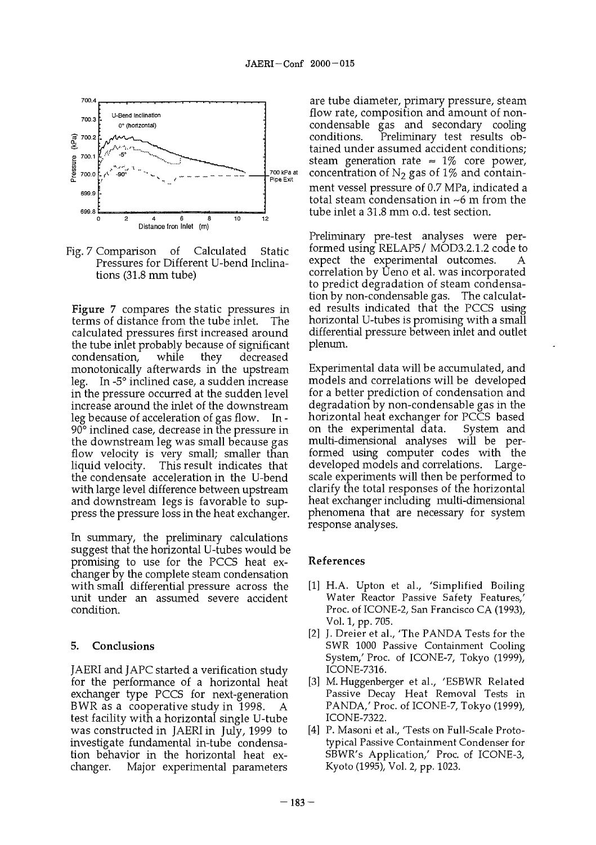

Fig. 7 Comparison of Calculated Static Pressures for Different U-bend Inclinations (31.8 mm tube)

Figure 7 compares the static pressures in terms of distance from the tube inlet. The calculated pressures first increased around the tube inlet probably because of significant condensation, while they decreased monotonically afterwards in the upstream leg. In -5° inclined case, a sudden increase in the pressure occurred at the sudden level increase around the inlet of the downstream leg because of acceleration of gas flow. In - 90° inclined case, decrease in the pressure in the downstream leg was small because gas flow velocity is very small; smaller than liquid velocity. This result indicates that the condensate acceleration in the U-bend with large level difference between upstream and downstream legs is favorable to suppress the pressure loss in the heat exchanger.

In summary, the preliminary calculations suggest that the horizontal U-tubes would be promising to use for the PCCS heat exchanger by the complete steam condensation with small differential pressure across the unit under an assumed severe accident condition.

#### 5. Conclusions

JAERI and JAPC started a verification study for the performance of a horizontal heat exchanger type PCCS for next-generation BWR as a cooperative study in 1998. A test facility with a horizontal single U-tube was constructed in JAERI in July, 1999 to investigate fundamental in-tube condensation behavior in the horizontal heat exchanger. Major experimental parameters

are tube diameter, primary pressure, steam flow rate, composition and amount of noncondensable gas and secondary cooling Preliminary test results obtained under assumed accident conditions; steam generation rate  $\approx 1\%$  core power, concentration of  $N_2$  gas of 1% and containment vessel pressure of 0.7 MPa, indicated a total steam condensation in ~6 m from the tube inlet a 31.8 mm o.d. test section.

Preliminary pre-test analyses were performed using RELAP5/ MOD3.2.1.2 code to expect the experimental outcomes. A correlation by Ueno et al. was incorporated to predict degradation of steam condensation by non-condensable gas. The calculated results indicated that the PCCS using horizontal U-tubes is promising with a small differential pressure between inlet and outlet plenum.

Experimental data will be accumulated, and models and correlations will be developed for a better prediction of condensation and degradation by non-condensable gas in the horizontal heat exchanger for PCCS based on the experimental data. System and multi-dimensional analyses will be performed using computer codes with the developed models and correlations. Largescale experiments will then be performed to clarify the total responses of the horizontal heat exchanger including multi-dimensional phenomena that are necessary for system response analyses.

# References

- [1] H.A. Upton et al., 'Simplified Boiling Water Reactor Passive Safety Features,' Proc. of ICONE-2, San Francisco CA (1993), Vol. 1, pp. 705.
- [2] J. Dreier et al., 'The PANDA Tests for the SWR 1000 Passive Containment Cooling System/ Proc. of ICONE-7, Tokyo (1999), ICONE-7316.
- [3] M. Huggenberger et al., 'ESBWR Related Passive Decay Heat Removal Tests in PANDA,' Proc. of ICONE-7, Tokyo (1999), ICONE-7322.
- [4] P. Masoni et al., 'Tests on Full-Scale Prototypical Passive Containment Condenser for SBWR's Application/ Proc. of ICONE-3, Kyoto (1995), Vol. 2, pp. 1023.